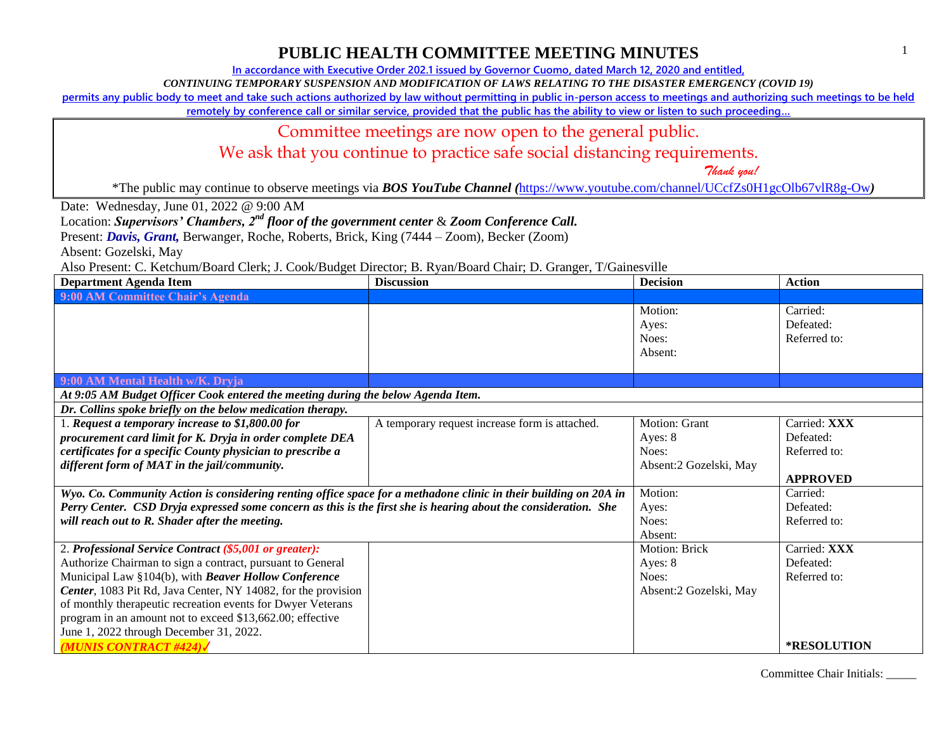**In accordance with Executive Order 202.1 issued by Governor Cuomo, dated March 12, 2020 and entitled,**

*CONTINUING TEMPORARY SUSPENSION AND MODIFICATION OF LAWS RELATING TO THE DISASTER EMERGENCY (COVID 19)*

**permits any public body to meet and take such actions authorized by law without permitting in public in-person access to meetings and authorizing such meetings to be held** 

**remotely by conference call or similar service, provided that the public has the ability to view or listen to such proceeding…**

### Committee meetings are now open to the general public.

We ask that you continue to practice safe social distancing requirements.

 *Thank you!*

\*The public may continue to observe meetings via *BOS YouTube Channel (*<https://www.youtube.com/channel/UCcfZs0H1gcOlb67vlR8g-Ow>*)*

Date: Wednesday, June 01, 2022 @ 9:00 AM

Location: *Supervisors' Chambers, 2nd floor of the government center* & *Zoom Conference Call.*

Present: *Davis, Grant,* Berwanger, Roche, Roberts, Brick, King (7444 – Zoom), Becker (Zoom)

Absent: Gozelski, May

Also Present: C. Ketchum/Board Clerk; J. Cook/Budget Director; B. Ryan/Board Chair; D. Granger, T/Gainesville

| <b>Department Agenda Item</b>                                                                                    | <b>Discussion</b>                              | <b>Decision</b>                      | <b>Action</b>                         |
|------------------------------------------------------------------------------------------------------------------|------------------------------------------------|--------------------------------------|---------------------------------------|
| 9:00 AM Committee Chair's Agenda                                                                                 |                                                |                                      |                                       |
|                                                                                                                  |                                                | Motion:<br>Ayes:<br>Noes:<br>Absent: | Carried:<br>Defeated:<br>Referred to: |
| 9:00 AM Mental Health w/K. Dryja                                                                                 |                                                |                                      |                                       |
| At 9:05 AM Budget Officer Cook entered the meeting during the below Agenda Item.                                 |                                                |                                      |                                       |
| Dr. Collins spoke briefly on the below medication therapy.                                                       |                                                |                                      |                                       |
| 1. Request a temporary increase to $$1,800.00$ for                                                               | A temporary request increase form is attached. | Motion: Grant                        | Carried: XXX                          |
| procurement card limit for K. Dryja in order complete DEA                                                        |                                                | Ayes: 8                              | Defeated:                             |
| certificates for a specific County physician to prescribe a                                                      |                                                | Noes:                                | Referred to:                          |
| different form of MAT in the jail/community.                                                                     |                                                | Absent:2 Gozelski, May               |                                       |
|                                                                                                                  |                                                |                                      | <b>APPROVED</b>                       |
| Wyo. Co. Community Action is considering renting office space for a methadone clinic in their building on 20A in |                                                | Motion:                              | Carried:                              |
| Perry Center. CSD Dryja expressed some concern as this is the first she is hearing about the consideration. She  |                                                | Ayes:                                | Defeated:                             |
| will reach out to R. Shader after the meeting.                                                                   |                                                | Noes:                                | Referred to:                          |
|                                                                                                                  |                                                | Absent:                              |                                       |
| 2. Professional Service Contract (\$5,001 or greater):                                                           |                                                | <b>Motion: Brick</b>                 | Carried: XXX                          |
| Authorize Chairman to sign a contract, pursuant to General                                                       |                                                | Ayes: 8                              | Defeated:                             |
| Municipal Law §104(b), with Beaver Hollow Conference                                                             |                                                | Noes:                                | Referred to:                          |
| Center, 1083 Pit Rd, Java Center, NY 14082, for the provision                                                    |                                                | Absent:2 Gozelski, May               |                                       |
| of monthly therapeutic recreation events for Dwyer Veterans                                                      |                                                |                                      |                                       |
| program in an amount not to exceed \$13,662.00; effective                                                        |                                                |                                      |                                       |
| June 1, 2022 through December 31, 2022.                                                                          |                                                |                                      |                                       |
| <b>MUNIS CONTRACT #424)</b>                                                                                      |                                                |                                      | <b>*RESOLUTION</b>                    |

Committee Chair Initials: \_\_\_\_\_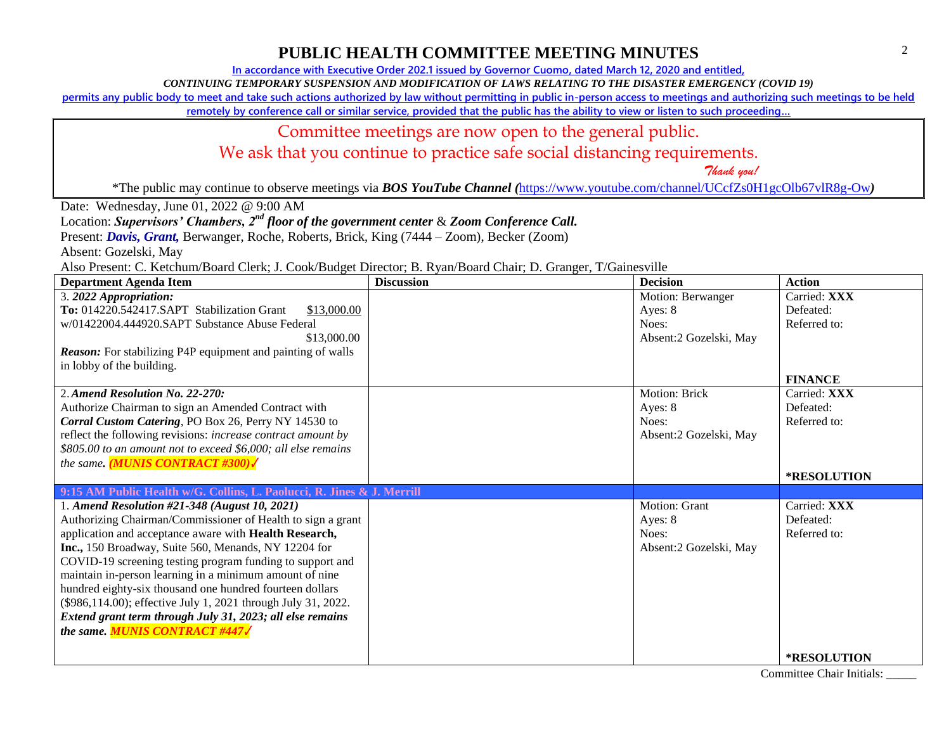**In accordance with Executive Order 202.1 issued by Governor Cuomo, dated March 12, 2020 and entitled,**

*CONTINUING TEMPORARY SUSPENSION AND MODIFICATION OF LAWS RELATING TO THE DISASTER EMERGENCY (COVID 19)*

**permits any public body to meet and take such actions authorized by law without permitting in public in-person access to meetings and authorizing such meetings to be held** 

**remotely by conference call or similar service, provided that the public has the ability to view or listen to such proceeding…**

### Committee meetings are now open to the general public.

We ask that you continue to practice safe social distancing requirements.

 *Thank you!*

\*The public may continue to observe meetings via *BOS YouTube Channel (*<https://www.youtube.com/channel/UCcfZs0H1gcOlb67vlR8g-Ow>*)*

Date: Wednesday, June 01, 2022 @ 9:00 AM

Location: *Supervisors' Chambers, 2nd floor of the government center* & *Zoom Conference Call.*

Present: *Davis, Grant,* Berwanger, Roche, Roberts, Brick, King (7444 – Zoom), Becker (Zoom)

Absent: Gozelski, May

Also Present: C. Ketchum/Board Clerk; J. Cook/Budget Director; B. Ryan/Board Chair; D. Granger, T/Gainesville

| <b>Department Agenda Item</b>                                          | <b>Discussion</b> | <b>Decision</b>        | <b>Action</b>      |
|------------------------------------------------------------------------|-------------------|------------------------|--------------------|
| 3. 2022 Appropriation:                                                 |                   | Motion: Berwanger      | Carried: XXX       |
| To: 014220.542417.SAPT Stabilization Grant<br>\$13,000.00              |                   | Ayes: 8                | Defeated:          |
| w/01422004.444920.SAPT Substance Abuse Federal                         |                   | Noes:                  | Referred to:       |
| \$13,000.00                                                            |                   | Absent:2 Gozelski, May |                    |
| <b>Reason:</b> For stabilizing P4P equipment and painting of walls     |                   |                        |                    |
| in lobby of the building.                                              |                   |                        |                    |
|                                                                        |                   |                        | <b>FINANCE</b>     |
| 2. Amend Resolution No. 22-270:                                        |                   | Motion: Brick          | Carried: XXX       |
| Authorize Chairman to sign an Amended Contract with                    |                   | Ayes: 8                | Defeated:          |
| Corral Custom Catering, PO Box 26, Perry NY 14530 to                   |                   | Noes:                  | Referred to:       |
| reflect the following revisions: increase contract amount by           |                   | Absent:2 Gozelski, May |                    |
| \$805.00 to an amount not to exceed \$6,000; all else remains          |                   |                        |                    |
| the same. ( <b>MUNIS CONTRACT #300)</b>                                |                   |                        |                    |
|                                                                        |                   |                        | *RESOLUTION        |
| 9:15 AM Public Health w/G. Collins, L. Paolucci, R. Jines & J. Merrill |                   |                        |                    |
| 1. Amend Resolution #21-348 (August 10, 2021)                          |                   | Motion: Grant          | Carried: XXX       |
| Authorizing Chairman/Commissioner of Health to sign a grant            |                   | Ayes: $8$              | Defeated:          |
| application and acceptance aware with Health Research,                 |                   | Noes:                  | Referred to:       |
| Inc., 150 Broadway, Suite 560, Menands, NY 12204 for                   |                   | Absent:2 Gozelski, May |                    |
| COVID-19 screening testing program funding to support and              |                   |                        |                    |
| maintain in-person learning in a minimum amount of nine                |                   |                        |                    |
| hundred eighty-six thousand one hundred fourteen dollars               |                   |                        |                    |
| (\$986,114.00); effective July 1, 2021 through July 31, 2022.          |                   |                        |                    |
| Extend grant term through July 31, 2023; all else remains              |                   |                        |                    |
| the same. MUNIS CONTRACT #447 /                                        |                   |                        |                    |
|                                                                        |                   |                        | <b>*RESOLUTION</b> |

Committee Chair Initials: \_\_\_\_\_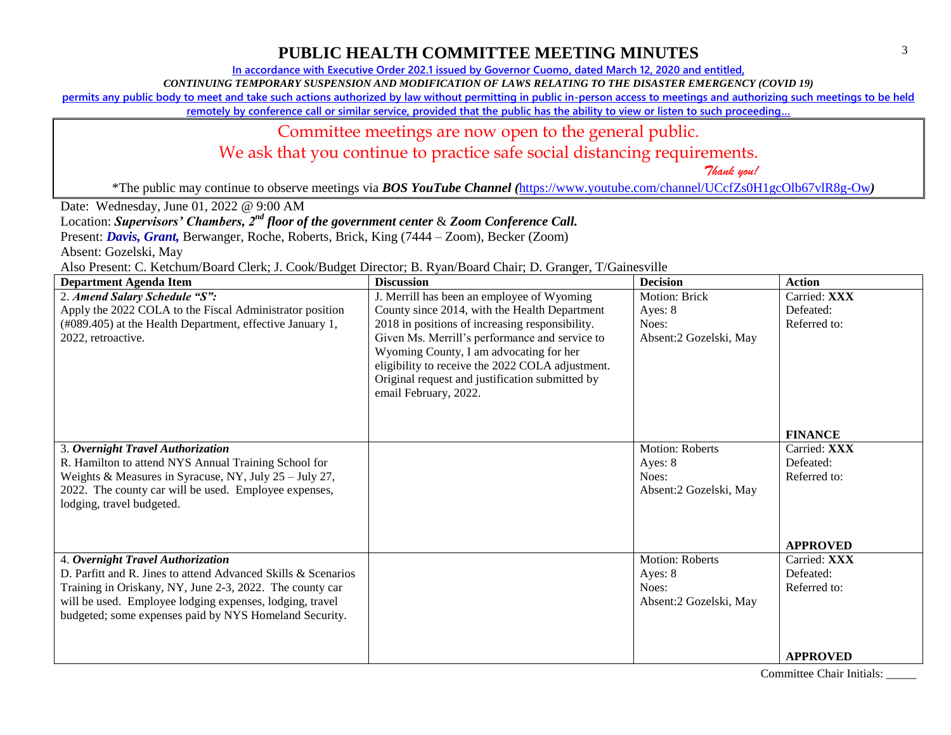**In accordance with Executive Order 202.1 issued by Governor Cuomo, dated March 12, 2020 and entitled,**

*CONTINUING TEMPORARY SUSPENSION AND MODIFICATION OF LAWS RELATING TO THE DISASTER EMERGENCY (COVID 19)*

**permits any public body to meet and take such actions authorized by law without permitting in public in-person access to meetings and authorizing such meetings to be held** 

**remotely by conference call or similar service, provided that the public has the ability to view or listen to such proceeding…**

## Committee meetings are now open to the general public.

We ask that you continue to practice safe social distancing requirements.

 *Thank you!*

\*The public may continue to observe meetings via *BOS YouTube Channel (*<https://www.youtube.com/channel/UCcfZs0H1gcOlb67vlR8g-Ow>*)*

Date: Wednesday, June 01, 2022 @ 9:00 AM

Location: *Supervisors' Chambers, 2nd floor of the government center* & *Zoom Conference Call.*

Present: *Davis, Grant,* Berwanger, Roche, Roberts, Brick, King (7444 – Zoom), Becker (Zoom)

Absent: Gozelski, May

Also Present: C. Ketchum/Board Clerk; J. Cook/Budget Director; B. Ryan/Board Chair; D. Granger, T/Gainesville

| <b>Department Agenda Item</b>                                 | <b>Discussion</b>                                | <b>Decision</b>        | <b>Action</b>   |
|---------------------------------------------------------------|--------------------------------------------------|------------------------|-----------------|
| 2. Amend Salary Schedule "S":                                 | J. Merrill has been an employee of Wyoming       | <b>Motion: Brick</b>   | Carried: XXX    |
| Apply the 2022 COLA to the Fiscal Administrator position      | County since 2014, with the Health Department    | Ayes: 8                | Defeated:       |
| (#089.405) at the Health Department, effective January 1,     | 2018 in positions of increasing responsibility.  | Noes:                  | Referred to:    |
| 2022, retroactive.                                            | Given Ms. Merrill's performance and service to   | Absent:2 Gozelski, May |                 |
|                                                               | Wyoming County, I am advocating for her          |                        |                 |
|                                                               | eligibility to receive the 2022 COLA adjustment. |                        |                 |
|                                                               | Original request and justification submitted by  |                        |                 |
|                                                               | email February, 2022.                            |                        |                 |
|                                                               |                                                  |                        |                 |
|                                                               |                                                  |                        | <b>FINANCE</b>  |
|                                                               |                                                  |                        |                 |
| 3. Overnight Travel Authorization                             |                                                  | <b>Motion: Roberts</b> | Carried: XXX    |
| R. Hamilton to attend NYS Annual Training School for          |                                                  | Ayes: 8                | Defeated:       |
| Weights & Measures in Syracuse, NY, July 25 - July 27,        |                                                  | Noes:                  | Referred to:    |
| 2022. The county car will be used. Employee expenses,         |                                                  | Absent:2 Gozelski, May |                 |
| lodging, travel budgeted.                                     |                                                  |                        |                 |
|                                                               |                                                  |                        |                 |
|                                                               |                                                  |                        |                 |
|                                                               |                                                  |                        | <b>APPROVED</b> |
| 4. Overnight Travel Authorization                             |                                                  | <b>Motion: Roberts</b> | Carried: XXX    |
| D. Parfitt and R. Jines to attend Advanced Skills & Scenarios |                                                  | Ayes: 8                | Defeated:       |
| Training in Oriskany, NY, June 2-3, 2022. The county car      |                                                  | Noes:                  | Referred to:    |
| will be used. Employee lodging expenses, lodging, travel      |                                                  | Absent:2 Gozelski, May |                 |
| budgeted; some expenses paid by NYS Homeland Security.        |                                                  |                        |                 |
|                                                               |                                                  |                        |                 |
|                                                               |                                                  |                        | <b>APPROVED</b> |
|                                                               |                                                  |                        |                 |

Committee Chair Initials: \_\_\_\_\_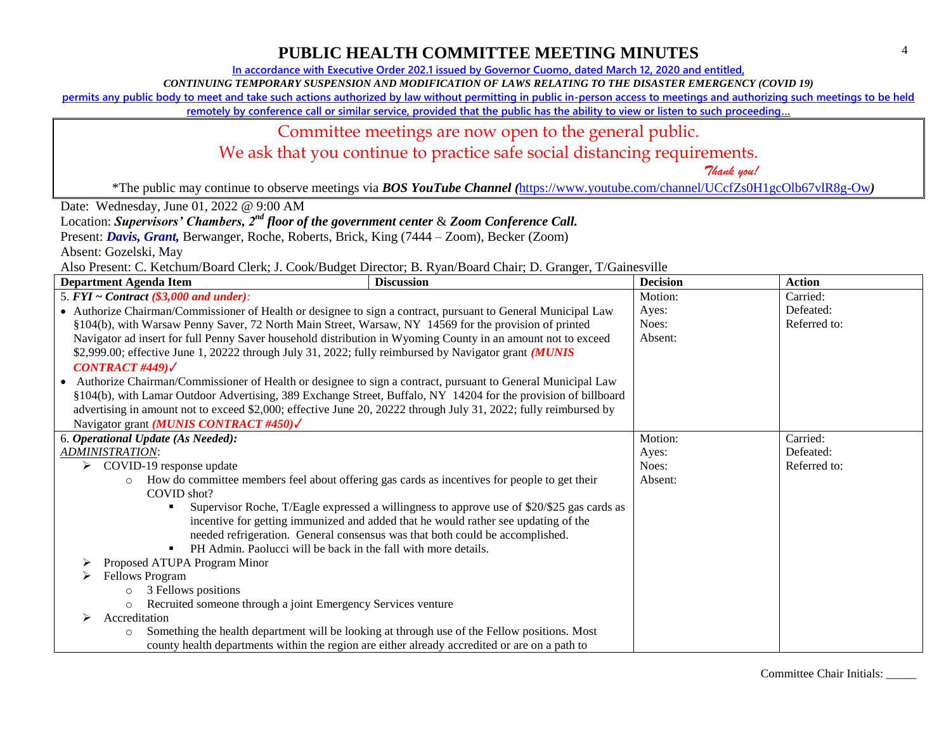**In accordance with Executive Order 202.1 issued by Governor Cuomo, dated March 12, 2020 and entitled,**

*CONTINUING TEMPORARY SUSPENSION AND MODIFICATION OF LAWS RELATING TO THE DISASTER EMERGENCY (COVID 19)*

**permits any public body to meet and take such actions authorized by law without permitting in public in-person access to meetings and authorizing such meetings to be held** 

**remotely by conference call or similar service, provided that the public has the ability to view or listen to such proceeding…**

### Committee meetings are now open to the general public.

We ask that you continue to practice safe social distancing requirements.

 *Thank you!*

\*The public may continue to observe meetings via *BOS YouTube Channel (*<https://www.youtube.com/channel/UCcfZs0H1gcOlb67vlR8g-Ow>*)*

Date: Wednesday, June 01, 2022 @ 9:00 AM

Location: *Supervisors' Chambers, 2nd floor of the government center* & *Zoom Conference Call.*

Present: *Davis, Grant,* Berwanger, Roche, Roberts, Brick, King (7444 – Zoom), Becker (Zoom)

Absent: Gozelski, May

Also Present: C. Ketchum/Board Clerk; J. Cook/Budget Director; B. Ryan/Board Chair; D. Granger, T/Gainesville

| <b>Department Agenda Item</b>                                                                                    | <b>Discussion</b>                                                                            | <b>Decision</b> | <b>Action</b> |
|------------------------------------------------------------------------------------------------------------------|----------------------------------------------------------------------------------------------|-----------------|---------------|
| 5. $FYI \sim Contract$ (\$3,000 and under):                                                                      |                                                                                              | Motion:         | Carried:      |
| • Authorize Chairman/Commissioner of Health or designee to sign a contract, pursuant to General Municipal Law    |                                                                                              | Ayes:           | Defeated:     |
| §104(b), with Warsaw Penny Saver, 72 North Main Street, Warsaw, NY 14569 for the provision of printed            |                                                                                              | Noes:           | Referred to:  |
| Navigator ad insert for full Penny Saver household distribution in Wyoming County in an amount not to exceed     |                                                                                              | Absent:         |               |
| \$2,999.00; effective June 1, 20222 through July 31, 2022; fully reimbursed by Navigator grant (MUNIS            |                                                                                              |                 |               |
| CONTRACT #449) $\checkmark$                                                                                      |                                                                                              |                 |               |
| Authorize Chairman/Commissioner of Health or designee to sign a contract, pursuant to General Municipal Law      |                                                                                              |                 |               |
| §104(b), with Lamar Outdoor Advertising, 389 Exchange Street, Buffalo, NY 14204 for the provision of billboard   |                                                                                              |                 |               |
| advertising in amount not to exceed \$2,000; effective June 20, 20222 through July 31, 2022; fully reimbursed by |                                                                                              |                 |               |
| Navigator grant ( <i>MUNIS CONTRACT #450)</i>                                                                    |                                                                                              |                 |               |
| 6. Operational Update (As Needed):                                                                               |                                                                                              | Motion:         | Carried:      |
| ADMINISTRATION:                                                                                                  |                                                                                              | Ayes:           | Defeated:     |
| COVID-19 response update<br>➤                                                                                    |                                                                                              | Noes:           | Referred to:  |
| $\circ$                                                                                                          | How do committee members feel about offering gas cards as incentives for people to get their | Absent:         |               |
| COVID shot?                                                                                                      |                                                                                              |                 |               |
|                                                                                                                  | Supervisor Roche, T/Eagle expressed a willingness to approve use of \$20/\$25 gas cards as   |                 |               |
|                                                                                                                  | incentive for getting immunized and added that he would rather see updating of the           |                 |               |
|                                                                                                                  | needed refrigeration. General consensus was that both could be accomplished.                 |                 |               |
| PH Admin. Paolucci will be back in the fall with more details.                                                   |                                                                                              |                 |               |
| Proposed ATUPA Program Minor                                                                                     |                                                                                              |                 |               |
| Fellows Program                                                                                                  |                                                                                              |                 |               |
| 3 Fellows positions<br>$\circ$                                                                                   |                                                                                              |                 |               |
| Recruited someone through a joint Emergency Services venture<br>$\circ$                                          |                                                                                              |                 |               |
| Accreditation                                                                                                    |                                                                                              |                 |               |
| $\circ$                                                                                                          | Something the health department will be looking at through use of the Fellow positions. Most |                 |               |
| county health departments within the region are either already accredited or are on a path to                    |                                                                                              |                 |               |